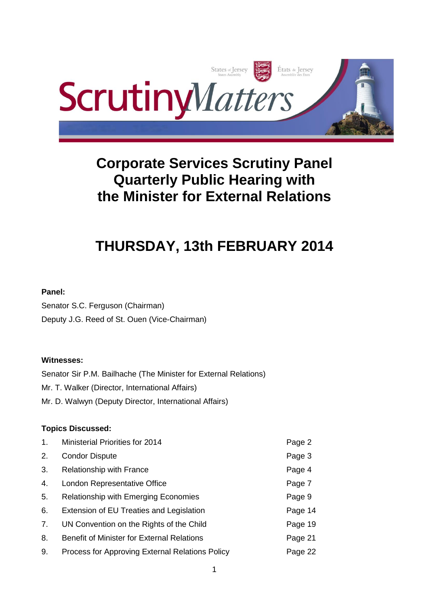

# **Corporate Services Scrutiny Panel Quarterly Public Hearing with the Minister for External Relations**

# **THURSDAY, 13th FEBRUARY 2014**

# **Panel:**

Senator S.C. Ferguson (Chairman) Deputy J.G. Reed of St. Ouen (Vice-Chairman)

# **Witnesses:**

Senator Sir P.M. Bailhache (The Minister for External Relations) Mr. T. Walker (Director, International Affairs) Mr. D. Walwyn (Deputy Director, International Affairs)

# **Topics Discussed:**

| 1. | Ministerial Priorities for 2014                   | Page 2  |
|----|---------------------------------------------------|---------|
| 2. | <b>Condor Dispute</b>                             | Page 3  |
| 3. | Relationship with France                          | Page 4  |
| 4. | London Representative Office                      | Page 7  |
| 5. | <b>Relationship with Emerging Economies</b>       | Page 9  |
| 6. | Extension of EU Treaties and Legislation          | Page 14 |
| 7. | UN Convention on the Rights of the Child          | Page 19 |
| 8. | <b>Benefit of Minister for External Relations</b> | Page 21 |
| 9. | Process for Approving External Relations Policy   | Page 22 |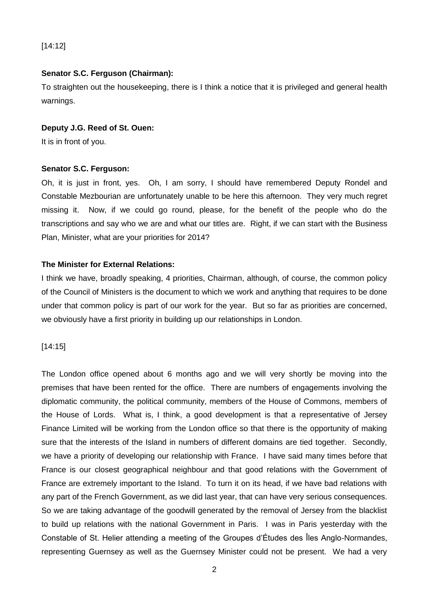[14:12]

# **Senator S.C. Ferguson (Chairman):**

To straighten out the housekeeping, there is I think a notice that it is privileged and general health warnings.

#### **Deputy J.G. Reed of St. Ouen:**

It is in front of you.

# **Senator S.C. Ferguson:**

Oh, it is just in front, yes. Oh, I am sorry, I should have remembered Deputy Rondel and Constable Mezbourian are unfortunately unable to be here this afternoon. They very much regret missing it. Now, if we could go round, please, for the benefit of the people who do the transcriptions and say who we are and what our titles are. Right, if we can start with the Business Plan, Minister, what are your priorities for 2014?

# **The Minister for External Relations:**

I think we have, broadly speaking, 4 priorities, Chairman, although, of course, the common policy of the Council of Ministers is the document to which we work and anything that requires to be done under that common policy is part of our work for the year. But so far as priorities are concerned, we obviously have a first priority in building up our relationships in London.

#### [14:15]

The London office opened about 6 months ago and we will very shortly be moving into the premises that have been rented for the office. There are numbers of engagements involving the diplomatic community, the political community, members of the House of Commons, members of the House of Lords. What is, I think, a good development is that a representative of Jersey Finance Limited will be working from the London office so that there is the opportunity of making sure that the interests of the Island in numbers of different domains are tied together. Secondly, we have a priority of developing our relationship with France. I have said many times before that France is our closest geographical neighbour and that good relations with the Government of France are extremely important to the Island. To turn it on its head, if we have bad relations with any part of the French Government, as we did last year, that can have very serious consequences. So we are taking advantage of the goodwill generated by the removal of Jersey from the blacklist to build up relations with the national Government in Paris. I was in Paris yesterday with the Constable of St. Helier attending a meeting of the Groupes d'Études des Îles Anglo-Normandes, representing Guernsey as well as the Guernsey Minister could not be present. We had a very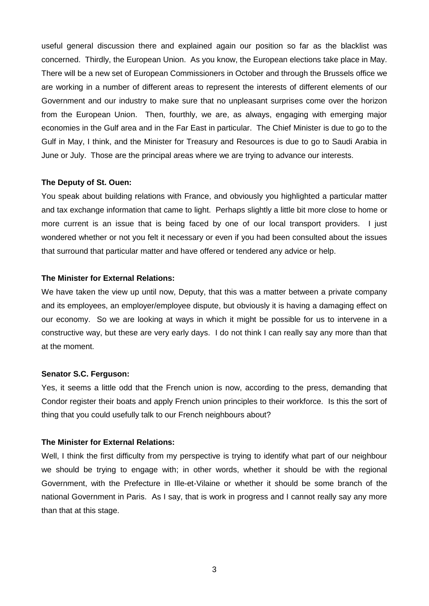useful general discussion there and explained again our position so far as the blacklist was concerned. Thirdly, the European Union. As you know, the European elections take place in May. There will be a new set of European Commissioners in October and through the Brussels office we are working in a number of different areas to represent the interests of different elements of our Government and our industry to make sure that no unpleasant surprises come over the horizon from the European Union. Then, fourthly, we are, as always, engaging with emerging major economies in the Gulf area and in the Far East in particular. The Chief Minister is due to go to the Gulf in May, I think, and the Minister for Treasury and Resources is due to go to Saudi Arabia in June or July. Those are the principal areas where we are trying to advance our interests.

#### **The Deputy of St. Ouen:**

You speak about building relations with France, and obviously you highlighted a particular matter and tax exchange information that came to light. Perhaps slightly a little bit more close to home or more current is an issue that is being faced by one of our local transport providers. I just wondered whether or not you felt it necessary or even if you had been consulted about the issues that surround that particular matter and have offered or tendered any advice or help.

#### **The Minister for External Relations:**

We have taken the view up until now, Deputy, that this was a matter between a private company and its employees, an employer/employee dispute, but obviously it is having a damaging effect on our economy. So we are looking at ways in which it might be possible for us to intervene in a constructive way, but these are very early days. I do not think I can really say any more than that at the moment.

#### **Senator S.C. Ferguson:**

Yes, it seems a little odd that the French union is now, according to the press, demanding that Condor register their boats and apply French union principles to their workforce. Is this the sort of thing that you could usefully talk to our French neighbours about?

#### **The Minister for External Relations:**

Well, I think the first difficulty from my perspective is trying to identify what part of our neighbour we should be trying to engage with; in other words, whether it should be with the regional Government, with the Prefecture in Ille-et-Vilaine or whether it should be some branch of the national Government in Paris. As I say, that is work in progress and I cannot really say any more than that at this stage.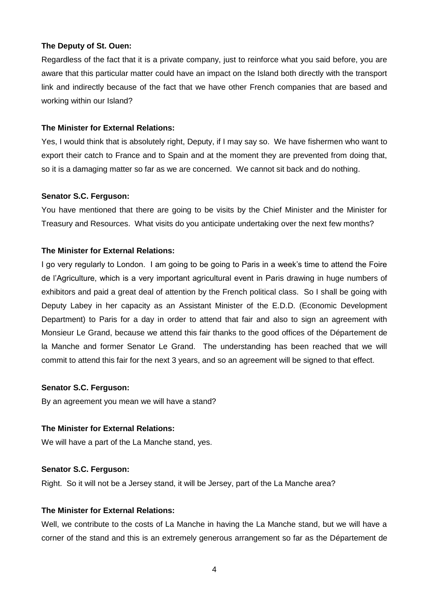## **The Deputy of St. Ouen:**

Regardless of the fact that it is a private company, just to reinforce what you said before, you are aware that this particular matter could have an impact on the Island both directly with the transport link and indirectly because of the fact that we have other French companies that are based and working within our Island?

## **The Minister for External Relations:**

Yes, I would think that is absolutely right, Deputy, if I may say so. We have fishermen who want to export their catch to France and to Spain and at the moment they are prevented from doing that, so it is a damaging matter so far as we are concerned. We cannot sit back and do nothing.

#### **Senator S.C. Ferguson:**

You have mentioned that there are going to be visits by the Chief Minister and the Minister for Treasury and Resources. What visits do you anticipate undertaking over the next few months?

## **The Minister for External Relations:**

I go very regularly to London. I am going to be going to Paris in a week's time to attend the Foire de l'Agriculture, which is a very important agricultural event in Paris drawing in huge numbers of exhibitors and paid a great deal of attention by the French political class. So I shall be going with Deputy Labey in her capacity as an Assistant Minister of the E.D.D. (Economic Development Department) to Paris for a day in order to attend that fair and also to sign an agreement with Monsieur Le Grand, because we attend this fair thanks to the good offices of the Département de la Manche and former Senator Le Grand. The understanding has been reached that we will commit to attend this fair for the next 3 years, and so an agreement will be signed to that effect.

# **Senator S.C. Ferguson:**

By an agreement you mean we will have a stand?

#### **The Minister for External Relations:**

We will have a part of the La Manche stand, yes.

# **Senator S.C. Ferguson:**

Right. So it will not be a Jersey stand, it will be Jersey, part of the La Manche area?

## **The Minister for External Relations:**

Well, we contribute to the costs of La Manche in having the La Manche stand, but we will have a corner of the stand and this is an extremely generous arrangement so far as the Département de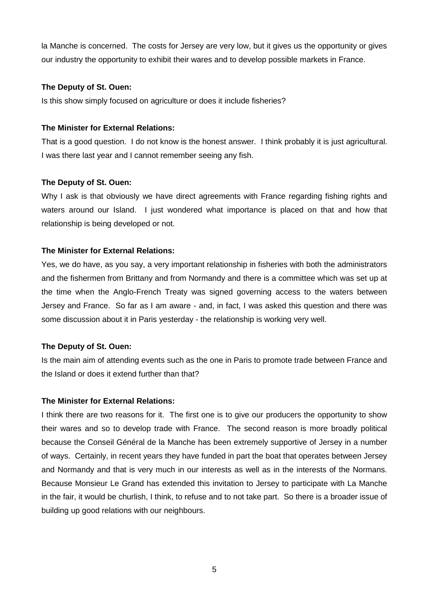la Manche is concerned. The costs for Jersey are very low, but it gives us the opportunity or gives our industry the opportunity to exhibit their wares and to develop possible markets in France.

## **The Deputy of St. Ouen:**

Is this show simply focused on agriculture or does it include fisheries?

## **The Minister for External Relations:**

That is a good question. I do not know is the honest answer. I think probably it is just agricultural. I was there last year and I cannot remember seeing any fish.

# **The Deputy of St. Ouen:**

Why I ask is that obviously we have direct agreements with France regarding fishing rights and waters around our Island. I just wondered what importance is placed on that and how that relationship is being developed or not.

## **The Minister for External Relations:**

Yes, we do have, as you say, a very important relationship in fisheries with both the administrators and the fishermen from Brittany and from Normandy and there is a committee which was set up at the time when the Anglo-French Treaty was signed governing access to the waters between Jersey and France. So far as I am aware - and, in fact, I was asked this question and there was some discussion about it in Paris yesterday - the relationship is working very well.

# **The Deputy of St. Ouen:**

Is the main aim of attending events such as the one in Paris to promote trade between France and the Island or does it extend further than that?

#### **The Minister for External Relations:**

I think there are two reasons for it. The first one is to give our producers the opportunity to show their wares and so to develop trade with France. The second reason is more broadly political because the Conseil Général de la Manche has been extremely supportive of Jersey in a number of ways. Certainly, in recent years they have funded in part the boat that operates between Jersey and Normandy and that is very much in our interests as well as in the interests of the Normans. Because Monsieur Le Grand has extended this invitation to Jersey to participate with La Manche in the fair, it would be churlish, I think, to refuse and to not take part. So there is a broader issue of building up good relations with our neighbours.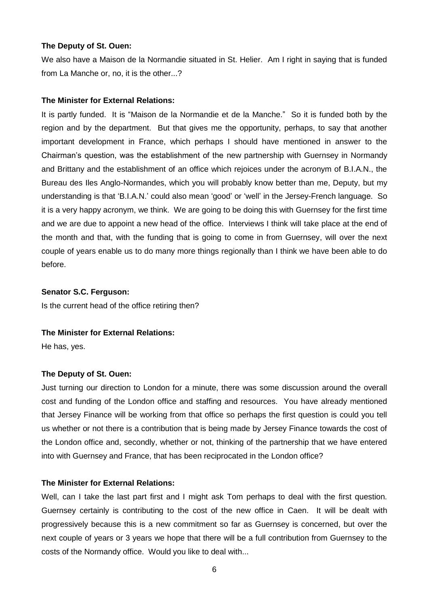#### **The Deputy of St. Ouen:**

We also have a Maison de la Normandie situated in St. Helier. Am I right in saying that is funded from La Manche or, no, it is the other...?

#### **The Minister for External Relations:**

It is partly funded. It is "Maison de la Normandie et de la Manche." So it is funded both by the region and by the department. But that gives me the opportunity, perhaps, to say that another important development in France, which perhaps I should have mentioned in answer to the Chairman's question, was the establishment of the new partnership with Guernsey in Normandy and Brittany and the establishment of an office which rejoices under the acronym of B.I.A.N., the Bureau des Iles Anglo-Normandes, which you will probably know better than me, Deputy, but my understanding is that 'B.I.A.N.' could also mean 'good' or 'well' in the Jersey-French language. So it is a very happy acronym, we think. We are going to be doing this with Guernsey for the first time and we are due to appoint a new head of the office. Interviews I think will take place at the end of the month and that, with the funding that is going to come in from Guernsey, will over the next couple of years enable us to do many more things regionally than I think we have been able to do before.

## **Senator S.C. Ferguson:**

Is the current head of the office retiring then?

#### **The Minister for External Relations:**

He has, yes.

#### **The Deputy of St. Ouen:**

Just turning our direction to London for a minute, there was some discussion around the overall cost and funding of the London office and staffing and resources. You have already mentioned that Jersey Finance will be working from that office so perhaps the first question is could you tell us whether or not there is a contribution that is being made by Jersey Finance towards the cost of the London office and, secondly, whether or not, thinking of the partnership that we have entered into with Guernsey and France, that has been reciprocated in the London office?

#### **The Minister for External Relations:**

Well, can I take the last part first and I might ask Tom perhaps to deal with the first question. Guernsey certainly is contributing to the cost of the new office in Caen. It will be dealt with progressively because this is a new commitment so far as Guernsey is concerned, but over the next couple of years or 3 years we hope that there will be a full contribution from Guernsey to the costs of the Normandy office. Would you like to deal with...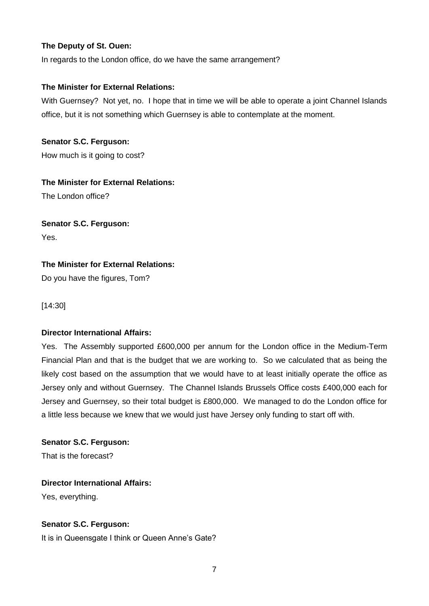# **The Deputy of St. Ouen:**

In regards to the London office, do we have the same arrangement?

# **The Minister for External Relations:**

With Guernsey? Not yet, no. I hope that in time we will be able to operate a joint Channel Islands office, but it is not something which Guernsey is able to contemplate at the moment.

**Senator S.C. Ferguson:** How much is it going to cost?

# **The Minister for External Relations:**

The London office?

# **Senator S.C. Ferguson:**

Yes.

# **The Minister for External Relations:**

Do you have the figures, Tom?

[14:30]

# **Director International Affairs:**

Yes. The Assembly supported £600,000 per annum for the London office in the Medium-Term Financial Plan and that is the budget that we are working to. So we calculated that as being the likely cost based on the assumption that we would have to at least initially operate the office as Jersey only and without Guernsey. The Channel Islands Brussels Office costs £400,000 each for Jersey and Guernsey, so their total budget is £800,000. We managed to do the London office for a little less because we knew that we would just have Jersey only funding to start off with.

**Senator S.C. Ferguson:** That is the forecast?

# **Director International Affairs:**

Yes, everything.

# **Senator S.C. Ferguson:**

It is in Queensgate I think or Queen Anne's Gate?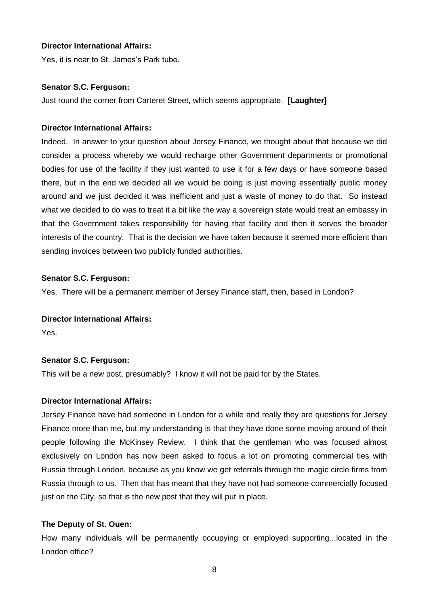## **Director International Affairs:**

Yes, it is near to St. James's Park tube.

## **Senator S.C. Ferguson:**

Just round the corner from Carteret Street, which seems appropriate. **[Laughter]**

## **Director International Affairs:**

Indeed. In answer to your question about Jersey Finance, we thought about that because we did consider a process whereby we would recharge other Government departments or promotional bodies for use of the facility if they just wanted to use it for a few days or have someone based there, but in the end we decided all we would be doing is just moving essentially public money around and we just decided it was inefficient and just a waste of money to do that. So instead what we decided to do was to treat it a bit like the way a sovereign state would treat an embassy in that the Government takes responsibility for having that facility and then it serves the broader interests of the country. That is the decision we have taken because it seemed more efficient than sending invoices between two publicly funded authorities.

## **Senator S.C. Ferguson:**

Yes. There will be a permanent member of Jersey Finance staff, then, based in London?

## **Director International Affairs:**

Yes.

# **Senator S.C. Ferguson:**

This will be a new post, presumably? I know it will not be paid for by the States.

#### **Director International Affairs:**

Jersey Finance have had someone in London for a while and really they are questions for Jersey Finance more than me, but my understanding is that they have done some moving around of their people following the McKinsey Review. I think that the gentleman who was focused almost exclusively on London has now been asked to focus a lot on promoting commercial ties with Russia through London, because as you know we get referrals through the magic circle firms from Russia through to us. Then that has meant that they have not had someone commercially focused just on the City, so that is the new post that they will put in place.

#### **The Deputy of St. Ouen:**

How many individuals will be permanently occupying or employed supporting...located in the London office?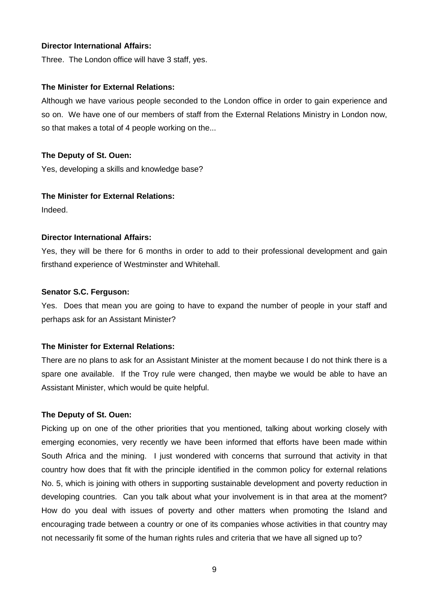## **Director International Affairs:**

Three. The London office will have 3 staff, yes.

#### **The Minister for External Relations:**

Although we have various people seconded to the London office in order to gain experience and so on. We have one of our members of staff from the External Relations Ministry in London now, so that makes a total of 4 people working on the...

## **The Deputy of St. Ouen:**

Yes, developing a skills and knowledge base?

## **The Minister for External Relations:**

Indeed.

## **Director International Affairs:**

Yes, they will be there for 6 months in order to add to their professional development and gain firsthand experience of Westminster and Whitehall.

## **Senator S.C. Ferguson:**

Yes. Does that mean you are going to have to expand the number of people in your staff and perhaps ask for an Assistant Minister?

# **The Minister for External Relations:**

There are no plans to ask for an Assistant Minister at the moment because I do not think there is a spare one available. If the Troy rule were changed, then maybe we would be able to have an Assistant Minister, which would be quite helpful.

#### **The Deputy of St. Ouen:**

Picking up on one of the other priorities that you mentioned, talking about working closely with emerging economies, very recently we have been informed that efforts have been made within South Africa and the mining. I just wondered with concerns that surround that activity in that country how does that fit with the principle identified in the common policy for external relations No. 5, which is joining with others in supporting sustainable development and poverty reduction in developing countries. Can you talk about what your involvement is in that area at the moment? How do you deal with issues of poverty and other matters when promoting the Island and encouraging trade between a country or one of its companies whose activities in that country may not necessarily fit some of the human rights rules and criteria that we have all signed up to?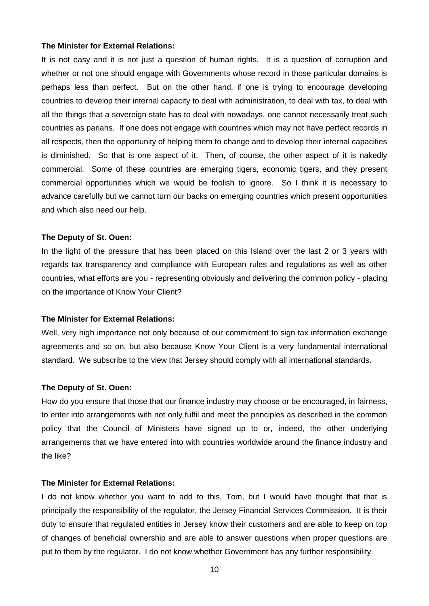It is not easy and it is not just a question of human rights. It is a question of corruption and whether or not one should engage with Governments whose record in those particular domains is perhaps less than perfect. But on the other hand, if one is trying to encourage developing countries to develop their internal capacity to deal with administration, to deal with tax, to deal with all the things that a sovereign state has to deal with nowadays, one cannot necessarily treat such countries as pariahs. If one does not engage with countries which may not have perfect records in all respects, then the opportunity of helping them to change and to develop their internal capacities is diminished. So that is one aspect of it. Then, of course, the other aspect of it is nakedly commercial. Some of these countries are emerging tigers, economic tigers, and they present commercial opportunities which we would be foolish to ignore. So I think it is necessary to advance carefully but we cannot turn our backs on emerging countries which present opportunities and which also need our help.

#### **The Deputy of St. Ouen:**

In the light of the pressure that has been placed on this Island over the last 2 or 3 years with regards tax transparency and compliance with European rules and regulations as well as other countries, what efforts are you - representing obviously and delivering the common policy - placing on the importance of Know Your Client?

#### **The Minister for External Relations:**

Well, very high importance not only because of our commitment to sign tax information exchange agreements and so on, but also because Know Your Client is a very fundamental international standard. We subscribe to the view that Jersey should comply with all international standards.

#### **The Deputy of St. Ouen:**

How do you ensure that those that our finance industry may choose or be encouraged, in fairness, to enter into arrangements with not only fulfil and meet the principles as described in the common policy that the Council of Ministers have signed up to or, indeed, the other underlying arrangements that we have entered into with countries worldwide around the finance industry and the like?

#### **The Minister for External Relations:**

I do not know whether you want to add to this, Tom, but I would have thought that that is principally the responsibility of the regulator, the Jersey Financial Services Commission. It is their duty to ensure that regulated entities in Jersey know their customers and are able to keep on top of changes of beneficial ownership and are able to answer questions when proper questions are put to them by the regulator. I do not know whether Government has any further responsibility.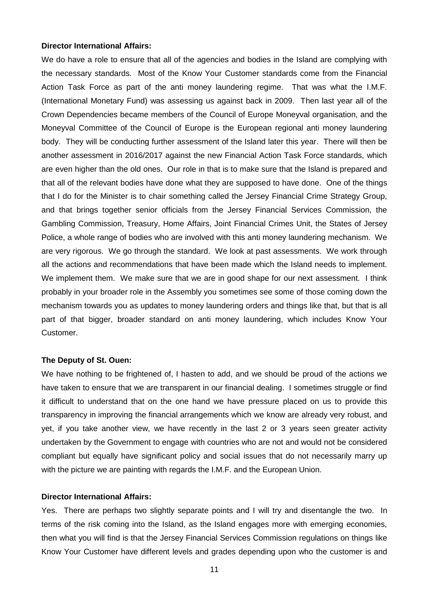#### **Director International Affairs:**

We do have a role to ensure that all of the agencies and bodies in the Island are complying with the necessary standards. Most of the Know Your Customer standards come from the Financial Action Task Force as part of the anti money laundering regime. That was what the I.M.F. (International Monetary Fund) was assessing us against back in 2009. Then last year all of the Crown Dependencies became members of the Council of Europe Moneyval organisation, and the Moneyval Committee of the Council of Europe is the European regional anti money laundering body. They will be conducting further assessment of the Island later this year. There will then be another assessment in 2016/2017 against the new Financial Action Task Force standards, which are even higher than the old ones. Our role in that is to make sure that the Island is prepared and that all of the relevant bodies have done what they are supposed to have done. One of the things that I do for the Minister is to chair something called the Jersey Financial Crime Strategy Group, and that brings together senior officials from the Jersey Financial Services Commission, the Gambling Commission, Treasury, Home Affairs, Joint Financial Crimes Unit, the States of Jersey Police, a whole range of bodies who are involved with this anti money laundering mechanism. We are very rigorous. We go through the standard. We look at past assessments. We work through all the actions and recommendations that have been made which the Island needs to implement. We implement them. We make sure that we are in good shape for our next assessment. I think probably in your broader role in the Assembly you sometimes see some of those coming down the mechanism towards you as updates to money laundering orders and things like that, but that is all part of that bigger, broader standard on anti money laundering, which includes Know Your Customer.

#### **The Deputy of St. Ouen:**

We have nothing to be frightened of, I hasten to add, and we should be proud of the actions we have taken to ensure that we are transparent in our financial dealing. I sometimes struggle or find it difficult to understand that on the one hand we have pressure placed on us to provide this transparency in improving the financial arrangements which we know are already very robust, and yet, if you take another view, we have recently in the last 2 or 3 years seen greater activity undertaken by the Government to engage with countries who are not and would not be considered compliant but equally have significant policy and social issues that do not necessarily marry up with the picture we are painting with regards the I.M.F. and the European Union.

#### **Director International Affairs:**

Yes. There are perhaps two slightly separate points and I will try and disentangle the two. In terms of the risk coming into the Island, as the Island engages more with emerging economies, then what you will find is that the Jersey Financial Services Commission regulations on things like Know Your Customer have different levels and grades depending upon who the customer is and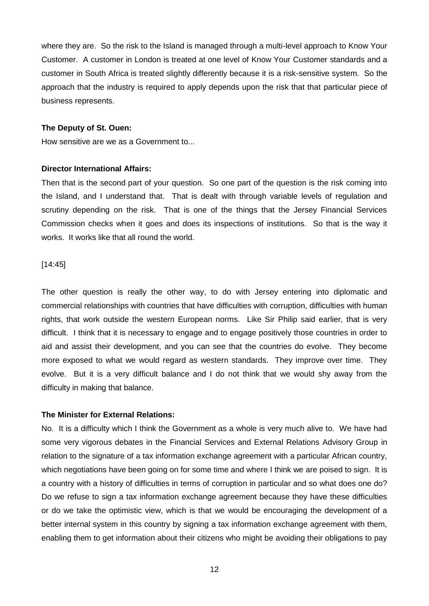where they are. So the risk to the Island is managed through a multi-level approach to Know Your Customer. A customer in London is treated at one level of Know Your Customer standards and a customer in South Africa is treated slightly differently because it is a risk-sensitive system. So the approach that the industry is required to apply depends upon the risk that that particular piece of business represents.

#### **The Deputy of St. Ouen:**

How sensitive are we as a Government to...

#### **Director International Affairs:**

Then that is the second part of your question. So one part of the question is the risk coming into the Island, and I understand that. That is dealt with through variable levels of regulation and scrutiny depending on the risk. That is one of the things that the Jersey Financial Services Commission checks when it goes and does its inspections of institutions. So that is the way it works. It works like that all round the world.

#### [14:45]

The other question is really the other way, to do with Jersey entering into diplomatic and commercial relationships with countries that have difficulties with corruption, difficulties with human rights, that work outside the western European norms. Like Sir Philip said earlier, that is very difficult. I think that it is necessary to engage and to engage positively those countries in order to aid and assist their development, and you can see that the countries do evolve. They become more exposed to what we would regard as western standards. They improve over time. They evolve. But it is a very difficult balance and I do not think that we would shy away from the difficulty in making that balance.

## **The Minister for External Relations:**

No. It is a difficulty which I think the Government as a whole is very much alive to. We have had some very vigorous debates in the Financial Services and External Relations Advisory Group in relation to the signature of a tax information exchange agreement with a particular African country, which negotiations have been going on for some time and where I think we are poised to sign. It is a country with a history of difficulties in terms of corruption in particular and so what does one do? Do we refuse to sign a tax information exchange agreement because they have these difficulties or do we take the optimistic view, which is that we would be encouraging the development of a better internal system in this country by signing a tax information exchange agreement with them, enabling them to get information about their citizens who might be avoiding their obligations to pay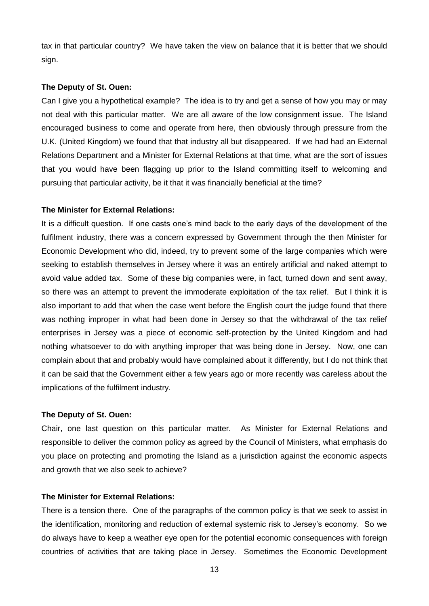tax in that particular country? We have taken the view on balance that it is better that we should sign.

#### **The Deputy of St. Ouen:**

Can I give you a hypothetical example? The idea is to try and get a sense of how you may or may not deal with this particular matter. We are all aware of the low consignment issue. The Island encouraged business to come and operate from here, then obviously through pressure from the U.K. (United Kingdom) we found that that industry all but disappeared. If we had had an External Relations Department and a Minister for External Relations at that time, what are the sort of issues that you would have been flagging up prior to the Island committing itself to welcoming and pursuing that particular activity, be it that it was financially beneficial at the time?

#### **The Minister for External Relations:**

It is a difficult question. If one casts one's mind back to the early days of the development of the fulfilment industry, there was a concern expressed by Government through the then Minister for Economic Development who did, indeed, try to prevent some of the large companies which were seeking to establish themselves in Jersey where it was an entirely artificial and naked attempt to avoid value added tax. Some of these big companies were, in fact, turned down and sent away, so there was an attempt to prevent the immoderate exploitation of the tax relief. But I think it is also important to add that when the case went before the English court the judge found that there was nothing improper in what had been done in Jersey so that the withdrawal of the tax relief enterprises in Jersey was a piece of economic self-protection by the United Kingdom and had nothing whatsoever to do with anything improper that was being done in Jersey. Now, one can complain about that and probably would have complained about it differently, but I do not think that it can be said that the Government either a few years ago or more recently was careless about the implications of the fulfilment industry.

## **The Deputy of St. Ouen:**

Chair, one last question on this particular matter. As Minister for External Relations and responsible to deliver the common policy as agreed by the Council of Ministers, what emphasis do you place on protecting and promoting the Island as a jurisdiction against the economic aspects and growth that we also seek to achieve?

#### **The Minister for External Relations:**

There is a tension there. One of the paragraphs of the common policy is that we seek to assist in the identification, monitoring and reduction of external systemic risk to Jersey's economy. So we do always have to keep a weather eye open for the potential economic consequences with foreign countries of activities that are taking place in Jersey. Sometimes the Economic Development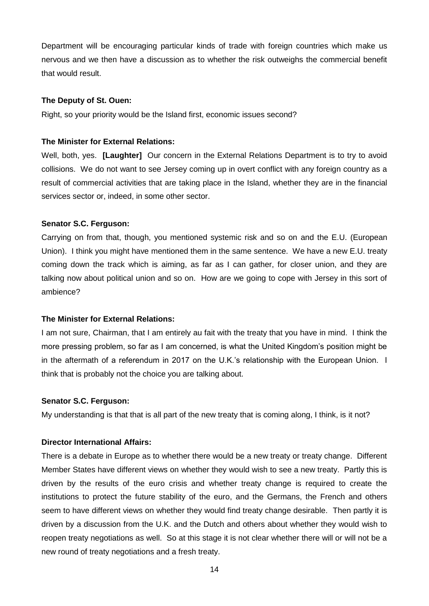Department will be encouraging particular kinds of trade with foreign countries which make us nervous and we then have a discussion as to whether the risk outweighs the commercial benefit that would result.

#### **The Deputy of St. Ouen:**

Right, so your priority would be the Island first, economic issues second?

#### **The Minister for External Relations:**

Well, both, yes. **[Laughter]** Our concern in the External Relations Department is to try to avoid collisions. We do not want to see Jersey coming up in overt conflict with any foreign country as a result of commercial activities that are taking place in the Island, whether they are in the financial services sector or, indeed, in some other sector.

#### **Senator S.C. Ferguson:**

Carrying on from that, though, you mentioned systemic risk and so on and the E.U. (European Union). I think you might have mentioned them in the same sentence. We have a new E.U. treaty coming down the track which is aiming, as far as I can gather, for closer union, and they are talking now about political union and so on. How are we going to cope with Jersey in this sort of ambience?

#### **The Minister for External Relations:**

I am not sure, Chairman, that I am entirely au fait with the treaty that you have in mind. I think the more pressing problem, so far as I am concerned, is what the United Kingdom's position might be in the aftermath of a referendum in 2017 on the U.K.'s relationship with the European Union. I think that is probably not the choice you are talking about.

#### **Senator S.C. Ferguson:**

My understanding is that that is all part of the new treaty that is coming along, I think, is it not?

#### **Director International Affairs:**

There is a debate in Europe as to whether there would be a new treaty or treaty change. Different Member States have different views on whether they would wish to see a new treaty. Partly this is driven by the results of the euro crisis and whether treaty change is required to create the institutions to protect the future stability of the euro, and the Germans, the French and others seem to have different views on whether they would find treaty change desirable. Then partly it is driven by a discussion from the U.K. and the Dutch and others about whether they would wish to reopen treaty negotiations as well. So at this stage it is not clear whether there will or will not be a new round of treaty negotiations and a fresh treaty.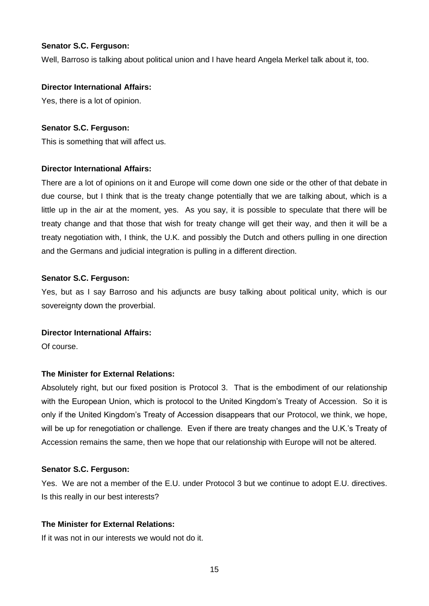## **Senator S.C. Ferguson:**

Well, Barroso is talking about political union and I have heard Angela Merkel talk about it, too.

#### **Director International Affairs:**

Yes, there is a lot of opinion.

## **Senator S.C. Ferguson:**

This is something that will affect us.

## **Director International Affairs:**

There are a lot of opinions on it and Europe will come down one side or the other of that debate in due course, but I think that is the treaty change potentially that we are talking about, which is a little up in the air at the moment, yes. As you say, it is possible to speculate that there will be treaty change and that those that wish for treaty change will get their way, and then it will be a treaty negotiation with, I think, the U.K. and possibly the Dutch and others pulling in one direction and the Germans and judicial integration is pulling in a different direction.

## **Senator S.C. Ferguson:**

Yes, but as I say Barroso and his adjuncts are busy talking about political unity, which is our sovereignty down the proverbial.

# **Director International Affairs:**

Of course.

# **The Minister for External Relations:**

Absolutely right, but our fixed position is Protocol 3. That is the embodiment of our relationship with the European Union, which is protocol to the United Kingdom's Treaty of Accession. So it is only if the United Kingdom's Treaty of Accession disappears that our Protocol, we think, we hope, will be up for renegotiation or challenge. Even if there are treaty changes and the U.K.'s Treaty of Accession remains the same, then we hope that our relationship with Europe will not be altered.

# **Senator S.C. Ferguson:**

Yes. We are not a member of the E.U. under Protocol 3 but we continue to adopt E.U. directives. Is this really in our best interests?

# **The Minister for External Relations:**

If it was not in our interests we would not do it.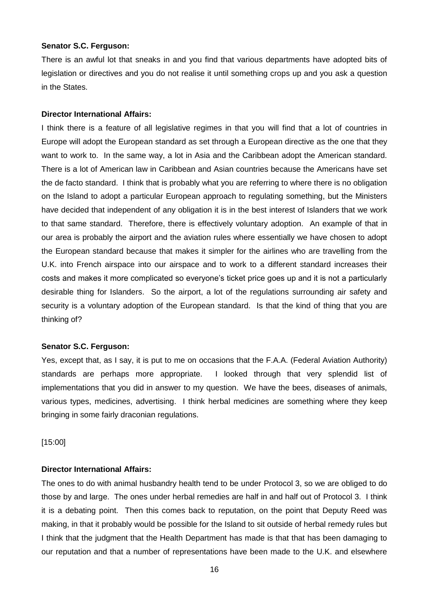#### **Senator S.C. Ferguson:**

There is an awful lot that sneaks in and you find that various departments have adopted bits of legislation or directives and you do not realise it until something crops up and you ask a question in the States.

#### **Director International Affairs:**

I think there is a feature of all legislative regimes in that you will find that a lot of countries in Europe will adopt the European standard as set through a European directive as the one that they want to work to. In the same way, a lot in Asia and the Caribbean adopt the American standard. There is a lot of American law in Caribbean and Asian countries because the Americans have set the de facto standard. I think that is probably what you are referring to where there is no obligation on the Island to adopt a particular European approach to regulating something, but the Ministers have decided that independent of any obligation it is in the best interest of Islanders that we work to that same standard. Therefore, there is effectively voluntary adoption. An example of that in our area is probably the airport and the aviation rules where essentially we have chosen to adopt the European standard because that makes it simpler for the airlines who are travelling from the U.K. into French airspace into our airspace and to work to a different standard increases their costs and makes it more complicated so everyone's ticket price goes up and it is not a particularly desirable thing for Islanders. So the airport, a lot of the regulations surrounding air safety and security is a voluntary adoption of the European standard. Is that the kind of thing that you are thinking of?

#### **Senator S.C. Ferguson:**

Yes, except that, as I say, it is put to me on occasions that the F.A.A. (Federal Aviation Authority) standards are perhaps more appropriate. I looked through that very splendid list of implementations that you did in answer to my question. We have the bees, diseases of animals, various types, medicines, advertising. I think herbal medicines are something where they keep bringing in some fairly draconian regulations.

[15:00]

# **Director International Affairs:**

The ones to do with animal husbandry health tend to be under Protocol 3, so we are obliged to do those by and large. The ones under herbal remedies are half in and half out of Protocol 3. I think it is a debating point. Then this comes back to reputation, on the point that Deputy Reed was making, in that it probably would be possible for the Island to sit outside of herbal remedy rules but I think that the judgment that the Health Department has made is that that has been damaging to our reputation and that a number of representations have been made to the U.K. and elsewhere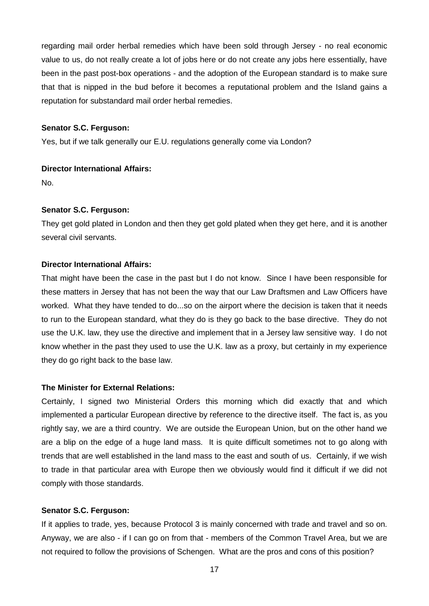regarding mail order herbal remedies which have been sold through Jersey - no real economic value to us, do not really create a lot of jobs here or do not create any jobs here essentially, have been in the past post-box operations - and the adoption of the European standard is to make sure that that is nipped in the bud before it becomes a reputational problem and the Island gains a reputation for substandard mail order herbal remedies.

#### **Senator S.C. Ferguson:**

Yes, but if we talk generally our E.U. regulations generally come via London?

## **Director International Affairs:**

No.

#### **Senator S.C. Ferguson:**

They get gold plated in London and then they get gold plated when they get here, and it is another several civil servants.

# **Director International Affairs:**

That might have been the case in the past but I do not know. Since I have been responsible for these matters in Jersey that has not been the way that our Law Draftsmen and Law Officers have worked. What they have tended to do...so on the airport where the decision is taken that it needs to run to the European standard, what they do is they go back to the base directive. They do not use the U.K. law, they use the directive and implement that in a Jersey law sensitive way. I do not know whether in the past they used to use the U.K. law as a proxy, but certainly in my experience they do go right back to the base law.

#### **The Minister for External Relations:**

Certainly, I signed two Ministerial Orders this morning which did exactly that and which implemented a particular European directive by reference to the directive itself. The fact is, as you rightly say, we are a third country. We are outside the European Union, but on the other hand we are a blip on the edge of a huge land mass. It is quite difficult sometimes not to go along with trends that are well established in the land mass to the east and south of us. Certainly, if we wish to trade in that particular area with Europe then we obviously would find it difficult if we did not comply with those standards.

#### **Senator S.C. Ferguson:**

If it applies to trade, yes, because Protocol 3 is mainly concerned with trade and travel and so on. Anyway, we are also - if I can go on from that - members of the Common Travel Area, but we are not required to follow the provisions of Schengen. What are the pros and cons of this position?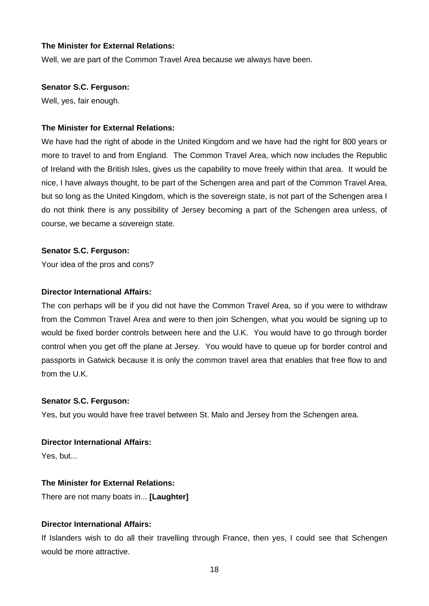Well, we are part of the Common Travel Area because we always have been.

#### **Senator S.C. Ferguson:**

Well, yes, fair enough.

#### **The Minister for External Relations:**

We have had the right of abode in the United Kingdom and we have had the right for 800 years or more to travel to and from England. The Common Travel Area, which now includes the Republic of Ireland with the British Isles, gives us the capability to move freely within that area. It would be nice, I have always thought, to be part of the Schengen area and part of the Common Travel Area, but so long as the United Kingdom, which is the sovereign state, is not part of the Schengen area I do not think there is any possibility of Jersey becoming a part of the Schengen area unless, of course, we became a sovereign state.

#### **Senator S.C. Ferguson:**

Your idea of the pros and cons?

#### **Director International Affairs:**

The con perhaps will be if you did not have the Common Travel Area, so if you were to withdraw from the Common Travel Area and were to then join Schengen, what you would be signing up to would be fixed border controls between here and the U.K. You would have to go through border control when you get off the plane at Jersey. You would have to queue up for border control and passports in Gatwick because it is only the common travel area that enables that free flow to and from the U.K.

#### **Senator S.C. Ferguson:**

Yes, but you would have free travel between St. Malo and Jersey from the Schengen area.

#### **Director International Affairs:**

Yes, but...

#### **The Minister for External Relations:**

There are not many boats in... **[Laughter]**

## **Director International Affairs:**

If Islanders wish to do all their travelling through France, then yes, I could see that Schengen would be more attractive.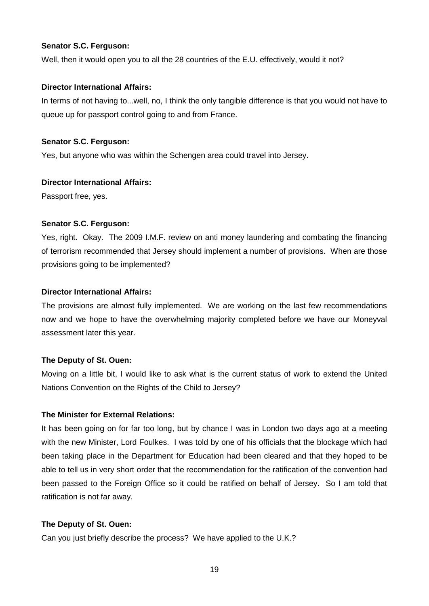## **Senator S.C. Ferguson:**

Well, then it would open you to all the 28 countries of the E.U. effectively, would it not?

## **Director International Affairs:**

In terms of not having to...well, no, I think the only tangible difference is that you would not have to queue up for passport control going to and from France.

## **Senator S.C. Ferguson:**

Yes, but anyone who was within the Schengen area could travel into Jersey.

## **Director International Affairs:**

Passport free, yes.

# **Senator S.C. Ferguson:**

Yes, right. Okay. The 2009 I.M.F. review on anti money laundering and combating the financing of terrorism recommended that Jersey should implement a number of provisions. When are those provisions going to be implemented?

## **Director International Affairs:**

The provisions are almost fully implemented. We are working on the last few recommendations now and we hope to have the overwhelming majority completed before we have our Moneyval assessment later this year.

# **The Deputy of St. Ouen:**

Moving on a little bit, I would like to ask what is the current status of work to extend the United Nations Convention on the Rights of the Child to Jersey?

# **The Minister for External Relations:**

It has been going on for far too long, but by chance I was in London two days ago at a meeting with the new Minister, Lord Foulkes. I was told by one of his officials that the blockage which had been taking place in the Department for Education had been cleared and that they hoped to be able to tell us in very short order that the recommendation for the ratification of the convention had been passed to the Foreign Office so it could be ratified on behalf of Jersey. So I am told that ratification is not far away.

# **The Deputy of St. Ouen:**

Can you just briefly describe the process? We have applied to the U.K.?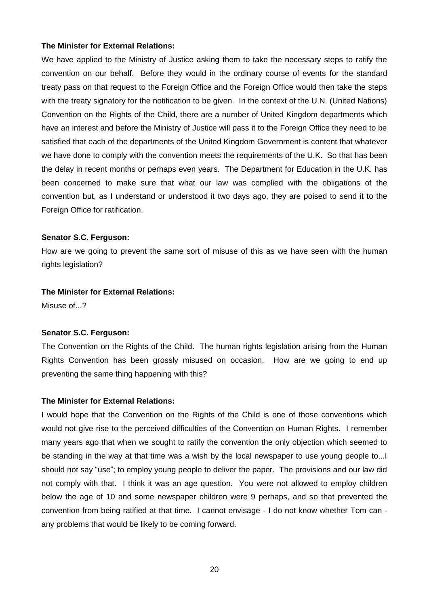We have applied to the Ministry of Justice asking them to take the necessary steps to ratify the convention on our behalf. Before they would in the ordinary course of events for the standard treaty pass on that request to the Foreign Office and the Foreign Office would then take the steps with the treaty signatory for the notification to be given. In the context of the U.N. (United Nations) Convention on the Rights of the Child, there are a number of United Kingdom departments which have an interest and before the Ministry of Justice will pass it to the Foreign Office they need to be satisfied that each of the departments of the United Kingdom Government is content that whatever we have done to comply with the convention meets the requirements of the U.K. So that has been the delay in recent months or perhaps even years. The Department for Education in the U.K. has been concerned to make sure that what our law was complied with the obligations of the convention but, as I understand or understood it two days ago, they are poised to send it to the Foreign Office for ratification.

#### **Senator S.C. Ferguson:**

How are we going to prevent the same sort of misuse of this as we have seen with the human rights legislation?

#### **The Minister for External Relations:**

Misuse of...?

#### **Senator S.C. Ferguson:**

The Convention on the Rights of the Child. The human rights legislation arising from the Human Rights Convention has been grossly misused on occasion. How are we going to end up preventing the same thing happening with this?

#### **The Minister for External Relations:**

I would hope that the Convention on the Rights of the Child is one of those conventions which would not give rise to the perceived difficulties of the Convention on Human Rights. I remember many years ago that when we sought to ratify the convention the only objection which seemed to be standing in the way at that time was a wish by the local newspaper to use young people to...I should not say "use"; to employ young people to deliver the paper. The provisions and our law did not comply with that. I think it was an age question. You were not allowed to employ children below the age of 10 and some newspaper children were 9 perhaps, and so that prevented the convention from being ratified at that time. I cannot envisage - I do not know whether Tom can any problems that would be likely to be coming forward.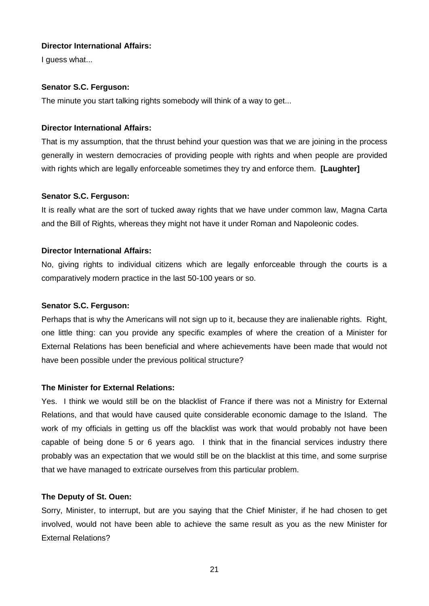# **Director International Affairs:**

I quess what...

# **Senator S.C. Ferguson:**

The minute you start talking rights somebody will think of a way to get...

## **Director International Affairs:**

That is my assumption, that the thrust behind your question was that we are joining in the process generally in western democracies of providing people with rights and when people are provided with rights which are legally enforceable sometimes they try and enforce them. **[Laughter]**

## **Senator S.C. Ferguson:**

It is really what are the sort of tucked away rights that we have under common law, Magna Carta and the Bill of Rights, whereas they might not have it under Roman and Napoleonic codes.

## **Director International Affairs:**

No, giving rights to individual citizens which are legally enforceable through the courts is a comparatively modern practice in the last 50-100 years or so.

## **Senator S.C. Ferguson:**

Perhaps that is why the Americans will not sign up to it, because they are inalienable rights. Right, one little thing: can you provide any specific examples of where the creation of a Minister for External Relations has been beneficial and where achievements have been made that would not have been possible under the previous political structure?

# **The Minister for External Relations:**

Yes. I think we would still be on the blacklist of France if there was not a Ministry for External Relations, and that would have caused quite considerable economic damage to the Island. The work of my officials in getting us off the blacklist was work that would probably not have been capable of being done 5 or 6 years ago. I think that in the financial services industry there probably was an expectation that we would still be on the blacklist at this time, and some surprise that we have managed to extricate ourselves from this particular problem.

#### **The Deputy of St. Ouen:**

Sorry, Minister, to interrupt, but are you saying that the Chief Minister, if he had chosen to get involved, would not have been able to achieve the same result as you as the new Minister for External Relations?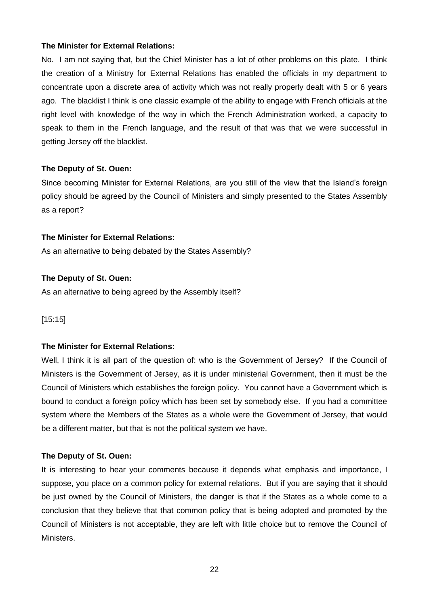No. I am not saying that, but the Chief Minister has a lot of other problems on this plate. I think the creation of a Ministry for External Relations has enabled the officials in my department to concentrate upon a discrete area of activity which was not really properly dealt with 5 or 6 years ago. The blacklist I think is one classic example of the ability to engage with French officials at the right level with knowledge of the way in which the French Administration worked, a capacity to speak to them in the French language, and the result of that was that we were successful in getting Jersey off the blacklist.

## **The Deputy of St. Ouen:**

Since becoming Minister for External Relations, are you still of the view that the Island's foreign policy should be agreed by the Council of Ministers and simply presented to the States Assembly as a report?

#### **The Minister for External Relations:**

As an alternative to being debated by the States Assembly?

## **The Deputy of St. Ouen:**

As an alternative to being agreed by the Assembly itself?

[15:15]

# **The Minister for External Relations:**

Well, I think it is all part of the question of: who is the Government of Jersey? If the Council of Ministers is the Government of Jersey, as it is under ministerial Government, then it must be the Council of Ministers which establishes the foreign policy. You cannot have a Government which is bound to conduct a foreign policy which has been set by somebody else. If you had a committee system where the Members of the States as a whole were the Government of Jersey, that would be a different matter, but that is not the political system we have.

#### **The Deputy of St. Ouen:**

It is interesting to hear your comments because it depends what emphasis and importance, I suppose, you place on a common policy for external relations. But if you are saying that it should be just owned by the Council of Ministers, the danger is that if the States as a whole come to a conclusion that they believe that that common policy that is being adopted and promoted by the Council of Ministers is not acceptable, they are left with little choice but to remove the Council of Ministers.